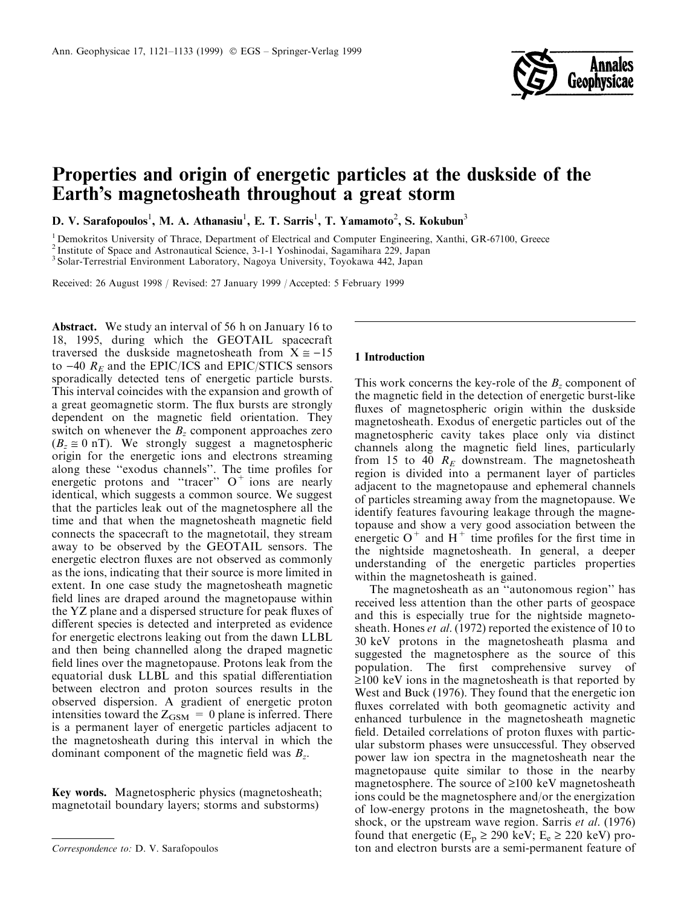

# Properties and origin of energetic particles at the duskside of the Earth's magnetosheath throughout a great storm

D. V. Sarafopoulos<sup>1</sup>, M. A. Athanasiu<sup>1</sup>, E. T. Sarris<sup>1</sup>, T. Yamamoto<sup>2</sup>, S. Kokubun<sup>3</sup>

<sup>1</sup> Demokritos University of Thrace, Department of Electrical and Computer Engineering, Xanthi, GR-67100, Greece

<sup>2</sup> Institute of Space and Astronautical Science, 3-1-1 Yoshinodai, Sagamihara 229, Japan

<sup>3</sup> Solar-Terrestrial Environment Laboratory, Nagoya University, Toyokawa 442, Japan

Received: 26 August 1998 / Revised: 27 January 1999 / Accepted: 5 February 1999

Abstract. We study an interval of 56 h on January 16 to 18, 1995, during which the GEOTAIL spacecraft traversed the duskside magnetosheath from  $X \approx -15$ to  $-40$   $R_E$  and the EPIC/ICS and EPIC/STICS sensors sporadically detected tens of energetic particle bursts. This interval coincides with the expansion and growth of a great geomagnetic storm. The flux bursts are strongly dependent on the magnetic field orientation. They switch on whenever the  $B<sub>z</sub>$  component approaches zero  $(B_z \approx 0 \text{ nT})$ . We strongly suggest a magnetospheric origin for the energetic ions and electrons streaming along these "exodus channels". The time profiles for energetic protons and "tracer"  $O^+$  ions are nearly identical, which suggests a common source. We suggest that the particles leak out of the magnetosphere all the time and that when the magnetosheath magnetic field connects the spacecraft to the magnetotail, they stream away to be observed by the GEOTAIL sensors. The energetic electron fluxes are not observed as commonly as the ions, indicating that their source is more limited in extent. In one case study the magnetosheath magnetic field lines are draped around the magnetopause within the YZ plane and a dispersed structure for peak fluxes of different species is detected and interpreted as evidence for energetic electrons leaking out from the dawn LLBL and then being channelled along the draped magnetic field lines over the magnetopause. Protons leak from the equatorial dusk LLBL and this spatial differentiation between electron and proton sources results in the observed dispersion. A gradient of energetic proton intensities toward the  $Z_{GSM} = 0$  plane is inferred. There is a permanent layer of energetic particles adjacent to the magnetosheath during this interval in which the dominant component of the magnetic field was  $B_z$ .

Key words. Magnetospheric physics (magnetosheath; magnetotail boundary layers; storms and substorms)

## 1 Introduction

This work concerns the key-role of the  $B<sub>z</sub>$  component of the magnetic field in the detection of energetic burst-like fluxes of magnetospheric origin within the duskside magnetosheath. Exodus of energetic particles out of the magnetospheric cavity takes place only via distinct channels along the magnetic field lines, particularly from 15 to 40  $R_E$  downstream. The magnetosheath region is divided into a permanent layer of particles adjacent to the magnetopause and ephemeral channels of particles streaming away from the magnetopause. We identify features favouring leakage through the magnetopause and show a very good association between the energetic  $O^+$  and  $H^+$  time profiles for the first time in the nightside magnetosheath. In general, a deeper understanding of the energetic particles properties within the magnetosheath is gained.

The magnetosheath as an "autonomous region" has received less attention than the other parts of geospace and this is especially true for the nightside magnetosheath. Hones *et al.* (1972) reported the existence of 10 to 30 keV protons in the magnetosheath plasma and suggested the magnetosphere as the source of this population. The first comprehensive survey of  $\geq$ 100 keV ions in the magnetosheath is that reported by West and Buck (1976). They found that the energetic ion fluxes correlated with both geomagnetic activity and enhanced turbulence in the magnetosheath magnetic field. Detailed correlations of proton fluxes with particular substorm phases were unsuccessful. They observed power law ion spectra in the magnetosheath near the magnetopause quite similar to those in the nearby magnetosphere. The source of  $\geq 100$  keV magnetosheath ions could be the magnetosphere and/or the energization of low-energy protons in the magnetosheath, the bow shock, or the upstream wave region. Sarris et al. (1976) found that energetic ( $E_p \ge 290$  keV;  $E_e \ge 220$  keV) pro-Correspondence to: D. V. Sarafopoulos ton and electron bursts are a semi-permanent feature of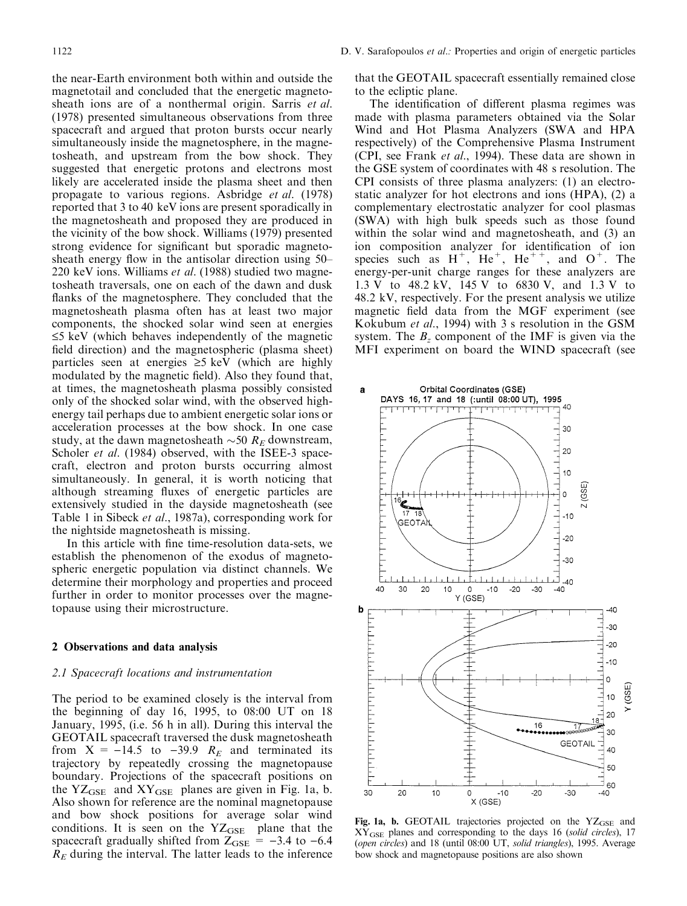the near-Earth environment both within and outside the magnetotail and concluded that the energetic magnetosheath ions are of a nonthermal origin. Sarris *et al.* (1978) presented simultaneous observations from three spacecraft and argued that proton bursts occur nearly simultaneously inside the magnetosphere, in the magnetosheath, and upstream from the bow shock. They suggested that energetic protons and electrons most likely are accelerated inside the plasma sheet and then propagate to various regions. Asbridge et al. (1978) reported that 3 to 40 keV ions are present sporadically in the magnetosheath and proposed they are produced in the vicinity of the bow shock. Williams (1979) presented strong evidence for significant but sporadic magnetosheath energy flow in the antisolar direction using  $50-$ 220 keV ions. Williams et al. (1988) studied two magnetosheath traversals, one on each of the dawn and dusk flanks of the magnetosphere. They concluded that the magnetosheath plasma often has at least two major components, the shocked solar wind seen at energies  $\leq$ 5 keV (which behaves independently of the magnetic field direction) and the magnetospheric (plasma sheet) particles seen at energies  $\geq$ 5 keV (which are highly modulated by the magnetic field). Also they found that, at times, the magnetosheath plasma possibly consisted only of the shocked solar wind, with the observed highenergy tail perhaps due to ambient energetic solar ions or acceleration processes at the bow shock. In one case study, at the dawn magnetosheath  $\sim$ 50  $R_E$  downstream, Scholer *et al.* (1984) observed, with the ISEE-3 spacecraft, electron and proton bursts occurring almost simultaneously. In general, it is worth noticing that although streaming fluxes of energetic particles are extensively studied in the dayside magnetosheath (see Table 1 in Sibeck et al., 1987a), corresponding work for the nightside magnetosheath is missing.

In this article with fine time-resolution data-sets, we establish the phenomenon of the exodus of magnetospheric energetic population via distinct channels. We determine their morphology and properties and proceed further in order to monitor processes over the magnetopause using their microstructure.

## 2 Observations and data analysis

#### 2.1 Spacecraft locations and instrumentation

The period to be examined closely is the interval from the beginning of day 16, 1995, to 08:00 UT on 18 January, 1995, (i.e. 56 h in all). During this interval the GEOTAIL spacecraft traversed the dusk magnetosheath from  $X = -14.5$  to  $-39.9$   $R_E$  and terminated its trajectory by repeatedly crossing the magnetopause boundary. Projections of the spacecraft positions on the  $YZ<sub>GSE</sub>$  and  $XY<sub>GSE</sub>$  planes are given in Fig. 1a, b. Also shown for reference are the nominal magnetopause and bow shock positions for average solar wind conditions. It is seen on the  $YZ<sub>GSE</sub>$  plane that the spacecraft gradually shifted from  $Z_{GSE} = -3.4$  to  $-6.4$  $R<sub>E</sub>$  during the interval. The latter leads to the inference

that the GEOTAIL spacecraft essentially remained close to the ecliptic plane.

The identification of different plasma regimes was made with plasma parameters obtained via the Solar Wind and Hot Plasma Analyzers (SWA and HPA respectively) of the Comprehensive Plasma Instrument (CPI, see Frank et al., 1994). These data are shown in the GSE system of coordinates with 48 s resolution. The CPI consists of three plasma analyzers: (1) an electrostatic analyzer for hot electrons and ions (HPA), (2) a complementary electrostatic analyzer for cool plasmas (SWA) with high bulk speeds such as those found within the solar wind and magnetosheath, and (3) an ion composition analyzer for identification of ion species such as  $H^+$ ,  $He^+$ ,  $He^{++}$ , and  $O^+$ . The energy-per-unit charge ranges for these analyzers are 1.3 V to 48.2 kV, 145 V to 6830 V, and 1.3 V to 48.2 kV, respectively. For the present analysis we utilize magnetic field data from the MGF experiment (see Kokubum et al., 1994) with 3 s resolution in the GSM system. The  $B<sub>z</sub>$  component of the IMF is given via the MFI experiment on board the WIND spacecraft (see



Fig. 1a, b. GEOTAIL trajectories projected on the  $YZ<sub>GSE</sub>$  and  $XY<sub>GSE</sub>$  planes and corresponding to the days 16 (solid circles), 17 (open circles) and 18 (until 08:00 UT, solid triangles), 1995. Average bow shock and magnetopause positions are also shown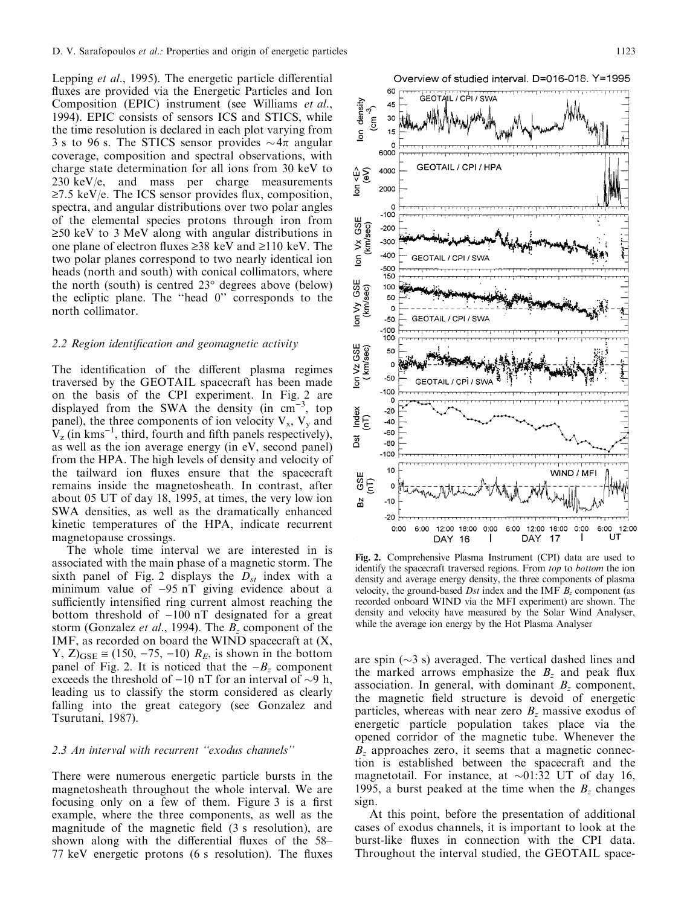Lepping *et al.*, 1995). The energetic particle differential fluxes are provided via the Energetic Particles and Ion Composition (EPIC) instrument (see Williams et al., 1994). EPIC consists of sensors ICS and STICS, while the time resolution is declared in each plot varying from 3 s to 96 s. The STICS sensor provides  $\sim 4\pi$  angular coverage, composition and spectral observations, with charge state determination for all ions from 30 keV to  $230 \text{ keV/e}$ , and mass per charge measurements  $\geq$ 7.5 keV/e. The ICS sensor provides flux, composition, spectra, and angular distributions over two polar angles of the elemental species protons through iron from  $\geq$ 50 keV to 3 MeV along with angular distributions in one plane of electron fluxes  $\geq 38$  keV and  $\geq 110$  keV. The two polar planes correspond to two nearly identical ion heads (north and south) with conical collimators, where the north (south) is centred 23° degrees above (below) the ecliptic plane. The ``head 0'' corresponds to the north collimator.

### $2.2$  Region identification and geomagnetic activity

The identification of the different plasma regimes traversed by the GEOTAIL spacecraft has been made on the basis of the CPI experiment. In Fig. 2 are displayed from the SWA the density (in  $cm^{-3}$ , top panel), the three components of ion velocity  $V_x$ ,  $V_y$  and  $V_z$  (in kms<sup>-1</sup>, third, fourth and fifth panels respectively), as well as the ion average energy (in eV, second panel) from the HPA. The high levels of density and velocity of the tailward ion fluxes ensure that the spacecraft remains inside the magnetosheath. In contrast, after about 05 UT of day 18, 1995, at times, the very low ion SWA densities, as well as the dramatically enhanced kinetic temperatures of the HPA, indicate recurrent magnetopause crossings.

The whole time interval we are interested in is associated with the main phase of a magnetic storm. The sixth panel of Fig. 2 displays the  $D_{st}$  index with a minimum value of  $-95$  nT giving evidence about a sufficiently intensified ring current almost reaching the bottom threshold of  $-100$  nT designated for a great storm (Gonzalez *et al.*, 1994). The  $B_z$  component of the IMF, as recorded on board the WIND spacecraft at (X, Y,  $Z|_{\text{GSE}} \approx (150, -75, -10) R_E$ , is shown in the bottom panel of Fig. 2. It is noticed that the  $-B<sub>z</sub>$  component exceeds the threshold of  $-10$  nT for an interval of  $\sim$ 9 h, leading us to classify the storm considered as clearly falling into the great category (see Gonzalez and Tsurutani, 1987).

## 2.3 An interval with recurrent "exodus channels"

There were numerous energetic particle bursts in the magnetosheath throughout the whole interval. We are focusing only on a few of them. Figure 3 is a first example, where the three components, as well as the magnitude of the magnetic field  $(3 \text{ s resolution})$ , are shown along with the differential fluxes of the  $58-$ 77 keV energetic protons  $(6 \text{ s resolution})$ . The fluxes



Fig. 2. Comprehensive Plasma Instrument (CPI) data are used to identify the spacecraft traversed regions. From top to bottom the ion density and average energy density, the three components of plasma velocity, the ground-based Dst index and the IMF  $B<sub>z</sub>$  component (as recorded onboard WIND via the MFI experiment) are shown. The density and velocity have measured by the Solar Wind Analyser, while the average ion energy by the Hot Plasma Analyser

are spin  $(\sim 3 \text{ s})$  averaged. The vertical dashed lines and the marked arrows emphasize the  $B<sub>z</sub>$  and peak flux association. In general, with dominant  $B_z$  component, the magnetic field structure is devoid of energetic particles, whereas with near zero  $B<sub>z</sub>$  massive exodus of energetic particle population takes place via the opened corridor of the magnetic tube. Whenever the  $B<sub>z</sub>$  approaches zero, it seems that a magnetic connection is established between the spacecraft and the magnetotail. For instance, at  $\sim 01:32$  UT of day 16, 1995, a burst peaked at the time when the  $B_z$  changes sign.

At this point, before the presentation of additional cases of exodus channels, it is important to look at the burst-like fluxes in connection with the CPI data. Throughout the interval studied, the GEOTAIL space-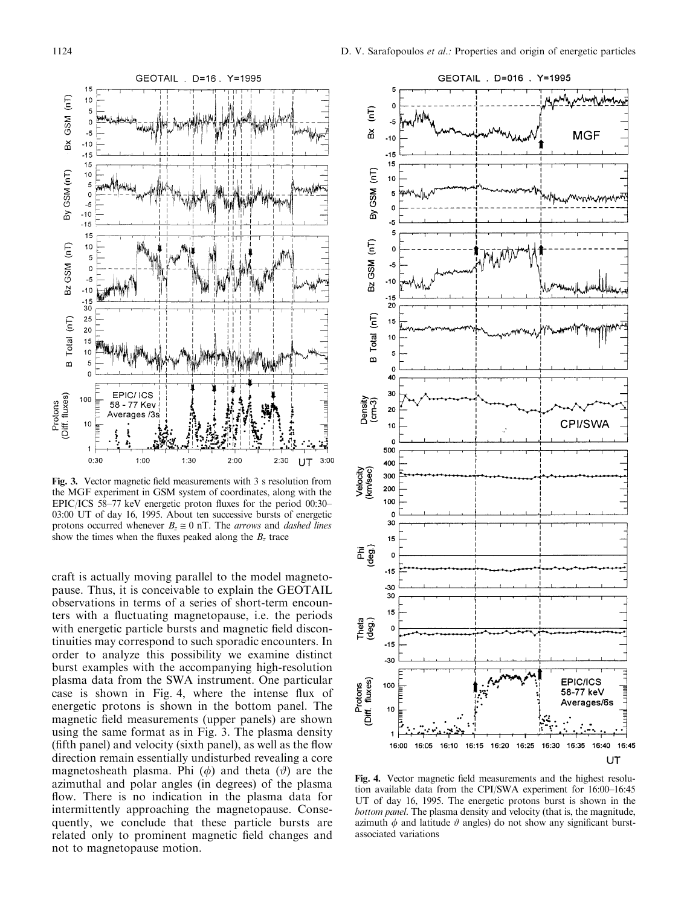

Fig. 3. Vector magnetic field measurements with 3 s resolution from the MGF experiment in GSM system of coordinates, along with the EPIC/ICS 58 $-77$  keV energetic proton fluxes for the period 00:30 $-$ 03:00 UT of day 16, 1995. About ten successive bursts of energetic protons occurred whenever  $B_z \approx 0$  nT. The *arrows* and *dashed lines* show the times when the fluxes peaked along the  $B_z$  trace

craft is actually moving parallel to the model magnetopause. Thus, it is conceivable to explain the GEOTAIL observations in terms of a series of short-term encounters with a fluctuating magnetopause, i.e. the periods with energetic particle bursts and magnetic field discontinuities may correspond to such sporadic encounters. In order to analyze this possibility we examine distinct burst examples with the accompanying high-resolution plasma data from the SWA instrument. One particular case is shown in Fig. 4, where the intense flux of energetic protons is shown in the bottom panel. The magnetic field measurements (upper panels) are shown using the same format as in Fig. 3. The plasma density  $(fifth panel)$  and velocity (sixth panel), as well as the flow direction remain essentially undisturbed revealing a core magnetosheath plasma. Phi  $(\phi)$  and theta  $(\theta)$  are the azimuthal and polar angles (in degrees) of the plasma flow. There is no indication in the plasma data for intermittently approaching the magnetopause. Consequently, we conclude that these particle bursts are related only to prominent magnetic field changes and not to magnetopause motion.



Fig. 4. Vector magnetic field measurements and the highest resolution available data from the CPI/SWA experiment for  $16:00-16:45$ UT of day 16, 1995. The energetic protons burst is shown in the bottom panel. The plasma density and velocity (that is, the magnitude, azimuth  $\phi$  and latitude  $\vartheta$  angles) do not show any significant burstassociated variations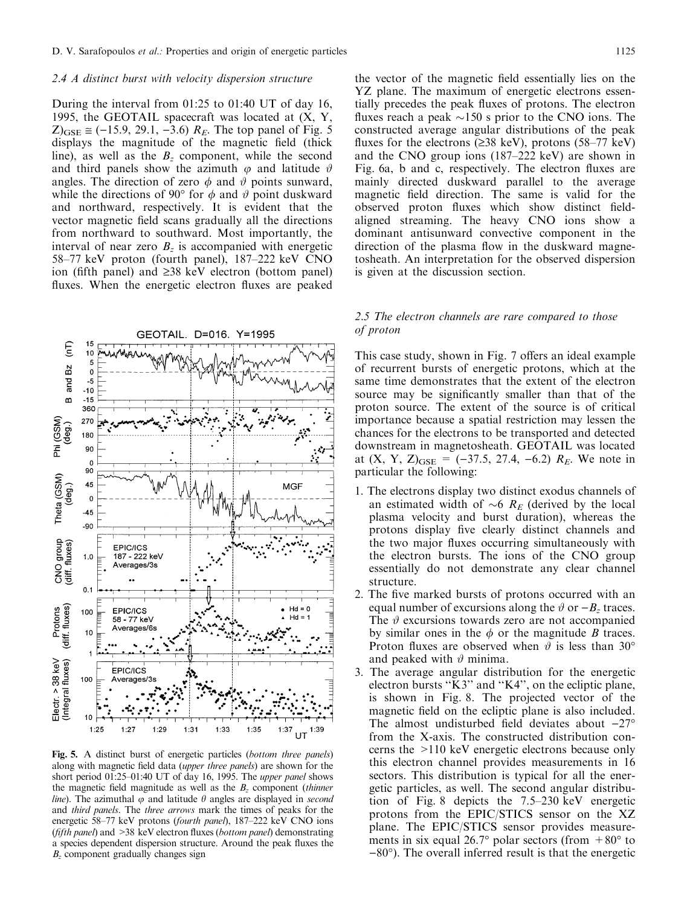#### 2.4 A distinct burst with velocity dispersion structure

During the interval from 01:25 to 01:40 UT of day 16, 1995, the GEOTAIL spacecraft was located at  $(X, Y, Z)$  $Z_{GSE} \approx (-15.9, 29.1, -3.6)$   $R_E$ . The top panel of Fig. 5 displays the magnitude of the magnetic field (thick line), as well as the  $B<sub>z</sub>$  component, while the second and third panels show the azimuth  $\varphi$  and latitude  $\vartheta$ angles. The direction of zero  $\phi$  and  $\theta$  points sunward, while the directions of 90 $\degree$  for  $\phi$  and  $\theta$  point duskward and northward, respectively. It is evident that the vector magnetic field scans gradually all the directions from northward to southward. Most importantly, the interval of near zero  $B_z$  is accompanied with energetic 58-77 keV proton (fourth panel), 187-222 keV CNO ion (fifth panel) and  $\geq 38$  keV electron (bottom panel) fluxes. When the energetic electron fluxes are peaked



Fig. 5. A distinct burst of energetic particles (bottom three panels) along with magnetic field data (upper three panels) are shown for the short period  $01:25-01:40$  UT of day 16, 1995. The *upper panel* shows the magnetic field magnitude as well as the  $B<sub>z</sub>$  component (thinner *line*). The azimuthal  $\varphi$  and latitude  $\theta$  angles are displayed in *second* and third panels. The three arrows mark the times of peaks for the energetic 58-77 keV protons (fourth panel), 187-222 keV CNO ions (*fifth panel*) and  $>38$  keV electron fluxes (*bottom panel*) demonstrating a species dependent dispersion structure. Around the peak fluxes the  $B<sub>z</sub>$  component gradually changes sign

the vector of the magnetic field essentially lies on the YZ plane. The maximum of energetic electrons essentially precedes the peak fluxes of protons. The electron fluxes reach a peak  $\sim$ 150 s prior to the CNO ions. The constructed average angular distributions of the peak fluxes for the electrons ( $\geq$ 38 keV), protons (58–77 keV) and the CNO group ions  $(187-222 \text{ keV})$  are shown in Fig. 6a, b and c, respectively. The electron fluxes are mainly directed duskward parallel to the average magnetic field direction. The same is valid for the observed proton fluxes which show distinct fieldaligned streaming. The heavy CNO ions show a dominant antisunward convective component in the direction of the plasma flow in the duskward magnetosheath. An interpretation for the observed dispersion is given at the discussion section.

#### 2.5 The electron channels are rare compared to those of proton

This case study, shown in Fig. 7 offers an ideal example of recurrent bursts of energetic protons, which at the same time demonstrates that the extent of the electron source may be significantly smaller than that of the proton source. The extent of the source is of critical importance because a spatial restriction may lessen the chances for the electrons to be transported and detected downstream in magnetosheath. GEOTAIL was located at  $(X, Y, Z)_{GSE} = (-37.5, 27.4, -6.2)$   $R_E$ . We note in particular the following:

- 1. The electrons display two distinct exodus channels of an estimated width of  $\sim 6$  R<sub>E</sub> (derived by the local plasma velocity and burst duration), whereas the protons display five clearly distinct channels and the two major fluxes occurring simultaneously with the electron bursts. The ions of the CNO group essentially do not demonstrate any clear channel structure.
- 2. The five marked bursts of protons occurred with an equal number of excursions along the  $\vartheta$  or  $-B_z$  traces. The  $\vartheta$  excursions towards zero are not accompanied by similar ones in the  $\phi$  or the magnitude B traces. Proton fluxes are observed when  $\vartheta$  is less than 30° and peaked with  $\vartheta$  minima.
- 3. The average angular distribution for the energetic electron bursts "K3" and "K4", on the ecliptic plane, is shown in Fig. 8. The projected vector of the magnetic field on the ecliptic plane is also included. The almost undisturbed field deviates about  $-27^{\circ}$ from the X-axis. The constructed distribution concerns the >110 keV energetic electrons because only this electron channel provides measurements in 16 sectors. This distribution is typical for all the energetic particles, as well. The second angular distribution of Fig. 8 depicts the  $7.5-230$  keV energetic protons from the EPIC/STICS sensor on the XZ plane. The EPIC/STICS sensor provides measurements in six equal 26.7° polar sectors (from  $+80^\circ$  to  $-80^{\circ}$ ). The overall inferred result is that the energetic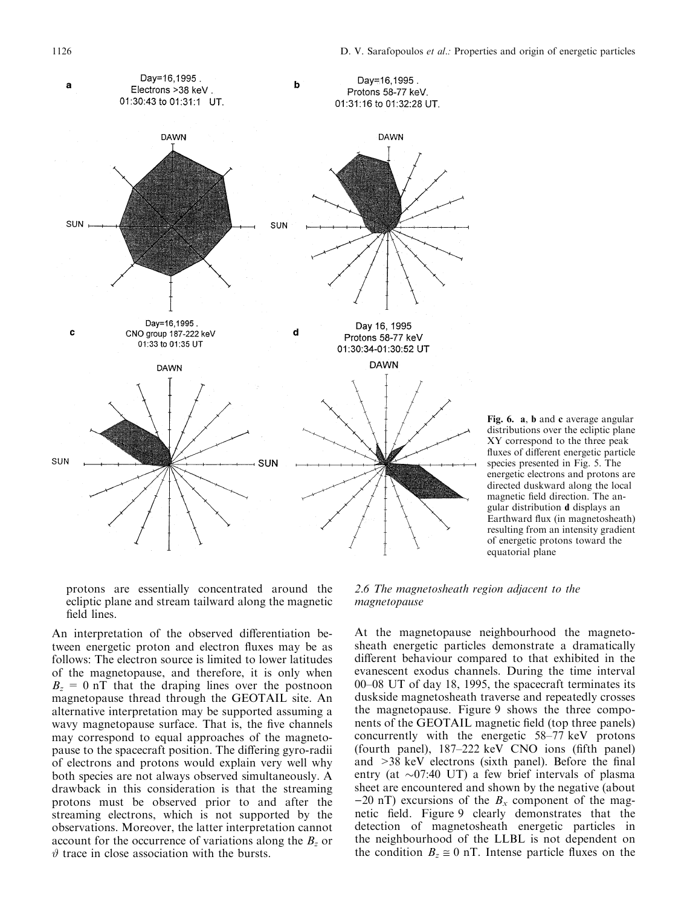

Fig. 6. a, b and c average angular distributions over the ecliptic plane XY correspond to the three peak fluxes of different energetic particle species presented in Fig. 5. The energetic electrons and protons are directed duskward along the local magnetic field direction. The angular distribution d displays an Earthward flux (in magnetosheath) resulting from an intensity gradient of energetic protons toward the equatorial plane

protons are essentially concentrated around the ecliptic plane and stream tailward along the magnetic field lines.

An interpretation of the observed differentiation between energetic proton and electron fluxes may be as follows: The electron source is limited to lower latitudes of the magnetopause, and therefore, it is only when  $B_z = 0$  nT that the draping lines over the postnoon magnetopause thread through the GEOTAIL site. An alternative interpretation may be supported assuming a wavy magnetopause surface. That is, the five channels may correspond to equal approaches of the magnetopause to the spacecraft position. The differing gyro-radii of electrons and protons would explain very well why both species are not always observed simultaneously. A drawback in this consideration is that the streaming protons must be observed prior to and after the streaming electrons, which is not supported by the observations. Moreover, the latter interpretation cannot account for the occurrence of variations along the  $B<sub>z</sub>$  or  $\vartheta$  trace in close association with the bursts.

2.6 The magnetosheath region adjacent to the magnetopause

At the magnetopause neighbourhood the magnetosheath energetic particles demonstrate a dramatically different behaviour compared to that exhibited in the evanescent exodus channels. During the time interval 00–08 UT of day 18, 1995, the spacecraft terminates its duskside magnetosheath traverse and repeatedly crosses the magnetopause. Figure 9 shows the three components of the GEOTAIL magnetic field (top three panels) concurrently with the energetic  $58-77$  keV protons (fourth panel),  $187-222$  keV CNO ions (fifth panel) and  $>38$  keV electrons (sixth panel). Before the final entry (at  $\sim 07:40$  UT) a few brief intervals of plasma sheet are encountered and shown by the negative (about  $-20$  nT) excursions of the  $B_x$  component of the magnetic field. Figure 9 clearly demonstrates that the detection of magnetosheath energetic particles in the neighbourhood of the LLBL is not dependent on the condition  $B_z \equiv 0$  nT. Intense particle fluxes on the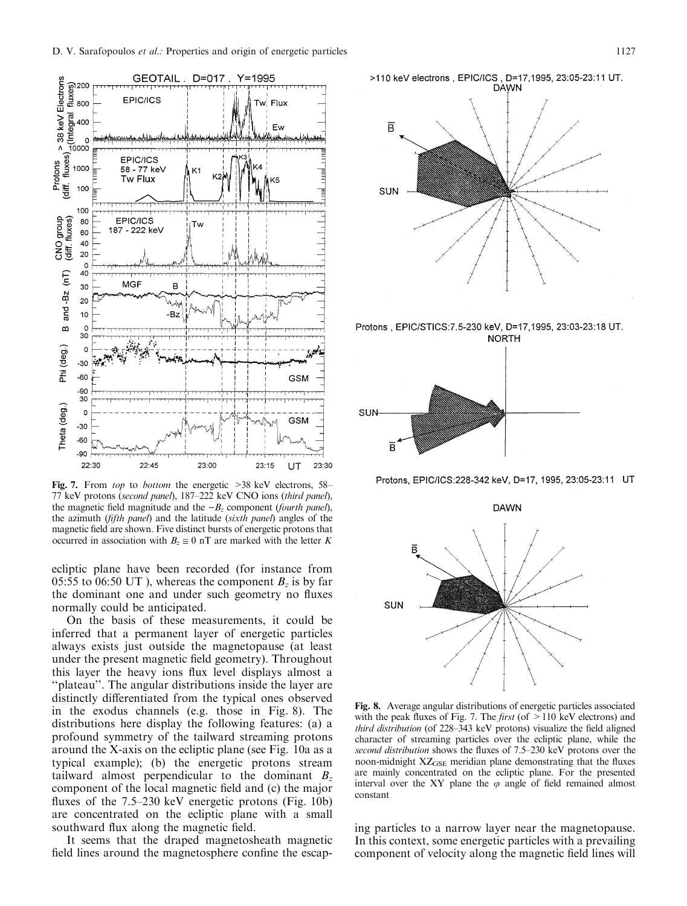

Fig. 7. From top to bottom the energetic  $>38$  keV electrons, 58 $-$ 77 keV protons (second panel), 187-222 keV CNO ions (third panel), the magnetic field magnitude and the  $-B_z$  component (fourth panel), the azimuth ( $f$ *ifth panel*) and the latitude ( $s$ *ixth panel*) angles of the magnetic field are shown. Five distinct bursts of energetic protons that occurred in association with  $B_7 \cong 0$  nT are marked with the letter K

ecliptic plane have been recorded (for instance from 05:55 to 06:50 UT), whereas the component  $B_z$  is by far the dominant one and under such geometry no fluxes normally could be anticipated.

On the basis of these measurements, it could be inferred that a permanent layer of energetic particles always exists just outside the magnetopause (at least under the present magnetic field geometry). Throughout this layer the heavy ions flux level displays almost a ``plateau''. The angular distributions inside the layer are distinctly differentiated from the typical ones observed in the exodus channels (e.g. those in Fig. 8). The distributions here display the following features: (a) a profound symmetry of the tailward streaming protons around the X-axis on the ecliptic plane (see Fig. 10a as a typical example); (b) the energetic protons stream tailward almost perpendicular to the dominant  $B_z$ component of the local magnetic field and (c) the major fluxes of the  $7.5-230$  keV energetic protons (Fig. 10b) are concentrated on the ecliptic plane with a small southward flux along the magnetic field.

It seems that the draped magnetosheath magnetic field lines around the magnetosphere confine the escap-



Protons, EPIC/STICS: 7.5-230 keV, D=17, 1995, 23:03-23:18 UT.



Protons, EPIC/ICS:228-342 keV, D=17, 1995, 23:05-23:11 UT



Fig. 8. Average angular distributions of energetic particles associated with the peak fluxes of Fig. 7. The *first* (of  $>110$  keV electrons) and third distribution (of  $228-343$  keV protons) visualize the field aligned character of streaming particles over the ecliptic plane, while the second distribution shows the fluxes of 7.5-230 keV protons over the noon-midnight XZ<sub>GSE</sub> meridian plane demonstrating that the fluxes are mainly concentrated on the ecliptic plane. For the presented interval over the XY plane the  $\varphi$  angle of field remained almost constant

ing particles to a narrow layer near the magnetopause. In this context, some energetic particles with a prevailing component of velocity along the magnetic field lines will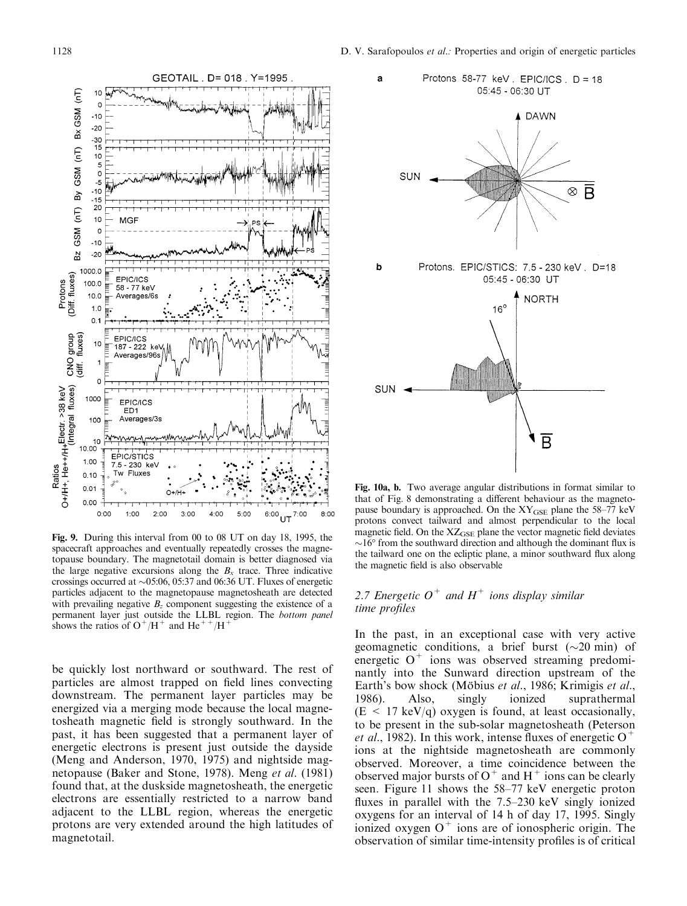

Fig. 9. During this interval from 00 to 08 UT on day 18, 1995, the spacecraft approaches and eventually repeatedly crosses the magnetopause boundary. The magnetotail domain is better diagnosed via the large negative excursions along the  $B<sub>x</sub>$  trace. Three indicative crossings occurred at  $\sim 05:06$ , 05:37 and 06:36 UT. Fluxes of energetic particles adjacent to the magnetopause magnetosheath are detected with prevailing negative  $B_z$  component suggesting the existence of a permanent layer just outside the LLBL region. The bottom panel shows the ratios of  $O^+/H^+$  and He<sup>++</sup>/H<sup>+</sup>

be quickly lost northward or southward. The rest of particles are almost trapped on field lines convecting downstream. The permanent layer particles may be energized via a merging mode because the local magnetosheath magnetic field is strongly southward. In the past, it has been suggested that a permanent layer of energetic electrons is present just outside the dayside (Meng and Anderson, 1970, 1975) and nightside magnetopause (Baker and Stone, 1978). Meng et al. (1981) found that, at the duskside magnetosheath, the energetic electrons are essentially restricted to a narrow band adjacent to the LLBL region, whereas the energetic protons are very extended around the high latitudes of magnetotail.



Fig. 10a, b. Two average angular distributions in format similar to that of Fig. 8 demonstrating a different behaviour as the magnetopause boundary is approached. On the  $XY_{GSE}$  plane the 58-77 keV protons convect tailward and almost perpendicular to the local magnetic field. On the  $XZ_{GSE}$  plane the vector magnetic field deviates  $\sim$ 16 $\degree$  from the southward direction and although the dominant flux is the tailward one on the ecliptic plane, a minor southward flux along the magnetic field is also observable

# 2.7 Energetic  $O^+$  and  $H^+$  ions display similar time profiles

In the past, in an exceptional case with very active geomagnetic conditions, a brief burst  $(\sim 20 \text{ min})$  of energetic  $O^+$  ions was observed streaming predominantly into the Sunward direction upstream of the Earth's bow shock (Möbius et al., 1986; Krimigis et al., 1986). Also, singly ionized suprathermal  $(E < 17 \text{ keV/q})$  oxygen is found, at least occasionally, to be present in the sub-solar magnetosheath (Peterson *et al.*, 1982). In this work, intense fluxes of energetic  $O^+$ ions at the nightside magnetosheath are commonly observed. Moreover, a time coincidence between the observed major bursts of  $O^+$  and  $H^+$  ions can be clearly seen. Figure 11 shows the 58–77 keV energetic proton fluxes in parallel with the  $7.5-230$  keV singly ionized oxygens for an interval of 14 h of day 17, 1995. Singly ionized oxygen  $O^+$  ions are of ionospheric origin. The observation of similar time-intensity profiles is of critical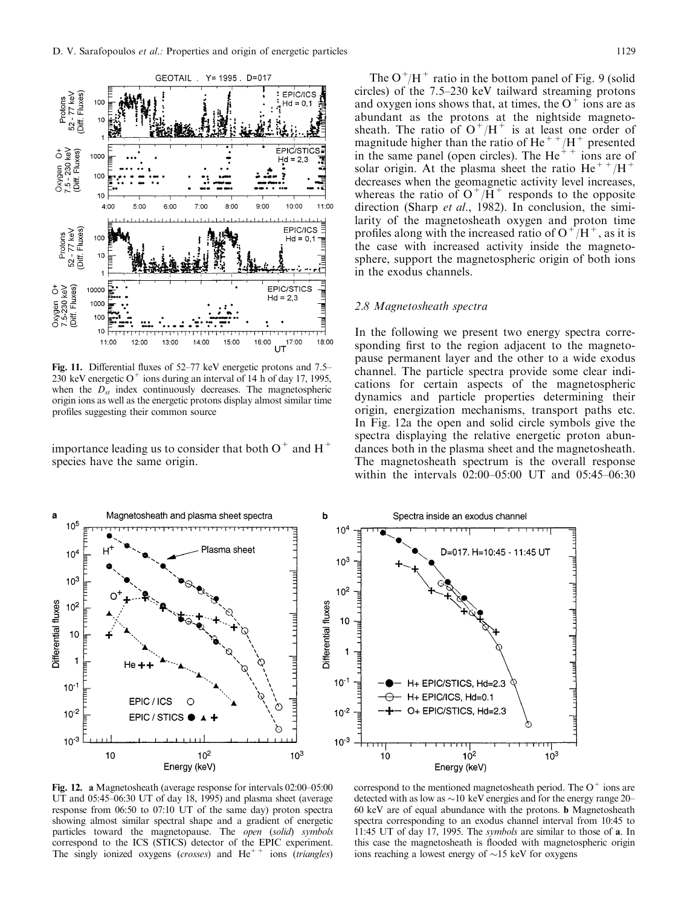

Fig. 11. Differential fluxes of  $52-77$  keV energetic protons and  $7.5-$ 230 keV energetic O<sup>+</sup> ions during an interval of 14 h of day 17, 1995, when the  $D_{st}$  index continuously decreases. The magnetospheric origin ions as well as the energetic protons display almost similar time profiles suggesting their common source

importance leading us to consider that both  $O^+$  and  $H^+$ species have the same origin.

The  $O^+/H^+$  ratio in the bottom panel of Fig. 9 (solid circles) of the  $7.5-230$  keV tailward streaming protons and oxygen ions shows that, at times, the  $O^+$  ions are as abundant as the protons at the nightside magnetosheath. The ratio of  $O^+/H^+$  is at least one order of magnitude higher than the ratio of He<sup>++</sup>/H<sup>+</sup> presented in the same panel (open circles). The  $He<sup>++</sup>$  ions are of solar origin. At the plasma sheet the ratio He<sup>++</sup>/H<sup>+</sup> decreases when the geomagnetic activity level increases, whereas the ratio of  $O^+/\bar{H}^+$  responds to the opposite direction (Sharp et al., 1982). In conclusion, the similarity of the magnetosheath oxygen and proton time profiles along with the increased ratio of  $O^+/H^+$ , as it is the case with increased activity inside the magnetosphere, support the magnetospheric origin of both ions in the exodus channels.

### 2.8 Magnetosheath spectra

In the following we present two energy spectra corresponding first to the region adjacent to the magnetopause permanent layer and the other to a wide exodus channel. The particle spectra provide some clear indications for certain aspects of the magnetospheric dynamics and particle properties determining their origin, energization mechanisms, transport paths etc. In Fig. 12a the open and solid circle symbols give the spectra displaying the relative energetic proton abundances both in the plasma sheet and the magnetosheath. The magnetosheath spectrum is the overall response within the intervals  $02:00-05:00$  UT and  $05:45-06:30$ 



Fig. 12. a Magnetosheath (average response for intervals  $02:00-05:00$ UT and 05:45-06:30 UT of day 18, 1995) and plasma sheet (average response from 06:50 to 07:10 UT of the same day) proton spectra showing almost similar spectral shape and a gradient of energetic particles toward the magnetopause. The open (solid) symbols correspond to the ICS (STICS) detector of the EPIC experiment. The singly ionized oxygens (crosses) and  $He^{++}$  ions (triangles)

correspond to the mentioned magnetosheath period. The  $O^+$  ions are detected with as low as  $\sim$  10 keV energies and for the energy range 20 $-$ 60 keV are of equal abundance with the protons. b Magnetosheath spectra corresponding to an exodus channel interval from 10:45 to 11:45 UT of day 17, 1995. The symbols are similar to those of a. In this case the magnetosheath is flooded with magnetospheric origin ions reaching a lowest energy of  $\sim$ 15 keV for oxygens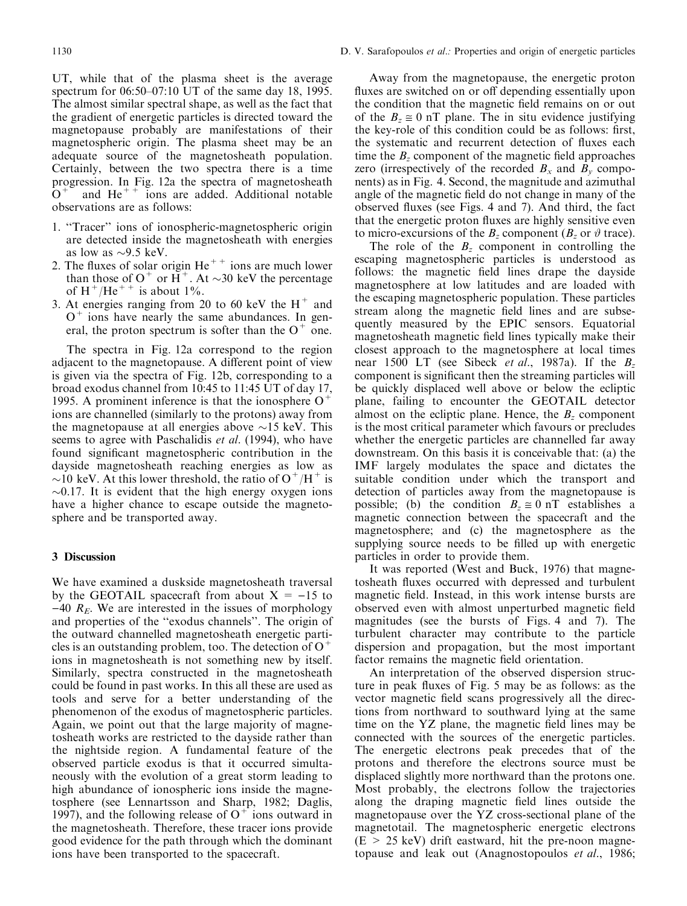UT, while that of the plasma sheet is the average spectrum for  $06:50-07:10$  UT of the same day 18, 1995. The almost similar spectral shape, as well as the fact that the gradient of energetic particles is directed toward the magnetopause probably are manifestations of their magnetospheric origin. The plasma sheet may be an adequate source of the magnetosheath population. Certainly, between the two spectra there is a time progression. In Fig. 12a the spectra of magnetosheath  $O<sup>+</sup>$  and He<sup>++</sup> ions are added. Additional notable observations are as follows:

- 1. "Tracer" ions of ionospheric-magnetospheric origin are detected inside the magnetosheath with energies as low as  $\sim$ 9.5 keV.
- 2. The fluxes of solar origin  $He^{++}$  ions are much lower than those of  $O^+$  or  $H^+$ . At  $\sim$ 30 keV the percentage of H<sup>+</sup>/He<sup>++</sup> is about  $1\%$ .
- 3. At energies ranging from 20 to 60 keV the  $H^+$  and  $O<sup>+</sup>$  ions have nearly the same abundances. In general, the proton spectrum is softer than the  $O^+$  one.

The spectra in Fig. 12a correspond to the region adjacent to the magnetopause. A different point of view is given via the spectra of Fig. 12b, corresponding to a broad exodus channel from 10:45 to 11:45 UT of day 17, 1995. A prominent inference is that the ionosphere  $O^+$ ions are channelled (similarly to the protons) away from the magnetopause at all energies above  $\sim$ 15 keV. This seems to agree with Paschalidis *et al.* (1994), who have found significant magnetospheric contribution in the dayside magnetosheath reaching energies as low as  $\sim$ 10 keV. At this lower threshold, the ratio of O<sup>+</sup>/H<sup>+</sup> is  $\sim$ 0.17. It is evident that the high energy oxygen ions have a higher chance to escape outside the magnetosphere and be transported away.

#### 3 Discussion

We have examined a duskside magnetosheath traversal by the GEOTAIL spacecraft from about  $X = -15$  to  $-40$   $R_E$ . We are interested in the issues of morphology and properties of the "exodus channels". The origin of the outward channelled magnetosheath energetic particles is an outstanding problem, too. The detection of  $O^+$ ions in magnetosheath is not something new by itself. Similarly, spectra constructed in the magnetosheath could be found in past works. In this all these are used as tools and serve for a better understanding of the phenomenon of the exodus of magnetospheric particles. Again, we point out that the large majority of magnetosheath works are restricted to the dayside rather than the nightside region. A fundamental feature of the observed particle exodus is that it occurred simultaneously with the evolution of a great storm leading to high abundance of ionospheric ions inside the magnetosphere (see Lennartsson and Sharp, 1982; Daglis, 1997), and the following release of  $O^+$  ions outward in the magnetosheath. Therefore, these tracer ions provide good evidence for the path through which the dominant ions have been transported to the spacecraft.

Away from the magnetopause, the energetic proton fluxes are switched on or off depending essentially upon the condition that the magnetic field remains on or out of the  $B_z \approx 0$  nT plane. The in situ evidence justifying the key-role of this condition could be as follows: first, the systematic and recurrent detection of fluxes each time the  $B<sub>z</sub>$  component of the magnetic field approaches zero (irrespectively of the recorded  $B_x$  and  $B_y$  components) as in Fig. 4. Second, the magnitude and azimuthal angle of the magnetic field do not change in many of the observed fluxes (see Figs. 4 and 7). And third, the fact that the energetic proton fluxes are highly sensitive even to micro-excursions of the  $B_z$  component ( $B_z$  or  $\vartheta$  trace).

The role of the  $B_z$  component in controlling the escaping magnetospheric particles is understood as follows: the magnetic field lines drape the dayside magnetosphere at low latitudes and are loaded with the escaping magnetospheric population. These particles stream along the magnetic field lines and are subsequently measured by the EPIC sensors. Equatorial magnetosheath magnetic field lines typically make their closest approach to the magnetosphere at local times near 1500 LT (see Sibeck et al., 1987a). If the  $B_z$ component is significant then the streaming particles will be quickly displaced well above or below the ecliptic plane, failing to encounter the GEOTAIL detector almost on the ecliptic plane. Hence, the  $B<sub>z</sub>$  component is the most critical parameter which favours or precludes whether the energetic particles are channelled far away downstream. On this basis it is conceivable that: (a) the IMF largely modulates the space and dictates the suitable condition under which the transport and detection of particles away from the magnetopause is possible; (b) the condition  $B_z \approx 0$  nT establishes a magnetic connection between the spacecraft and the magnetosphere; and (c) the magnetosphere as the supplying source needs to be filled up with energetic particles in order to provide them.

It was reported (West and Buck, 1976) that magnetosheath fluxes occurred with depressed and turbulent magnetic field. Instead, in this work intense bursts are observed even with almost unperturbed magnetic field magnitudes (see the bursts of Figs. 4 and 7). The turbulent character may contribute to the particle dispersion and propagation, but the most important factor remains the magnetic field orientation.

An interpretation of the observed dispersion structure in peak fluxes of Fig.  $5$  may be as follows: as the vector magnetic field scans progressively all the directions from northward to southward lying at the same time on the YZ plane, the magnetic field lines may be connected with the sources of the energetic particles. The energetic electrons peak precedes that of the protons and therefore the electrons source must be displaced slightly more northward than the protons one. Most probably, the electrons follow the trajectories along the draping magnetic field lines outside the magnetopause over the YZ cross-sectional plane of the magnetotail. The magnetospheric energetic electrons  $(E > 25 \text{ keV})$  drift eastward, hit the pre-noon magnetopause and leak out (Anagnostopoulos et al., 1986;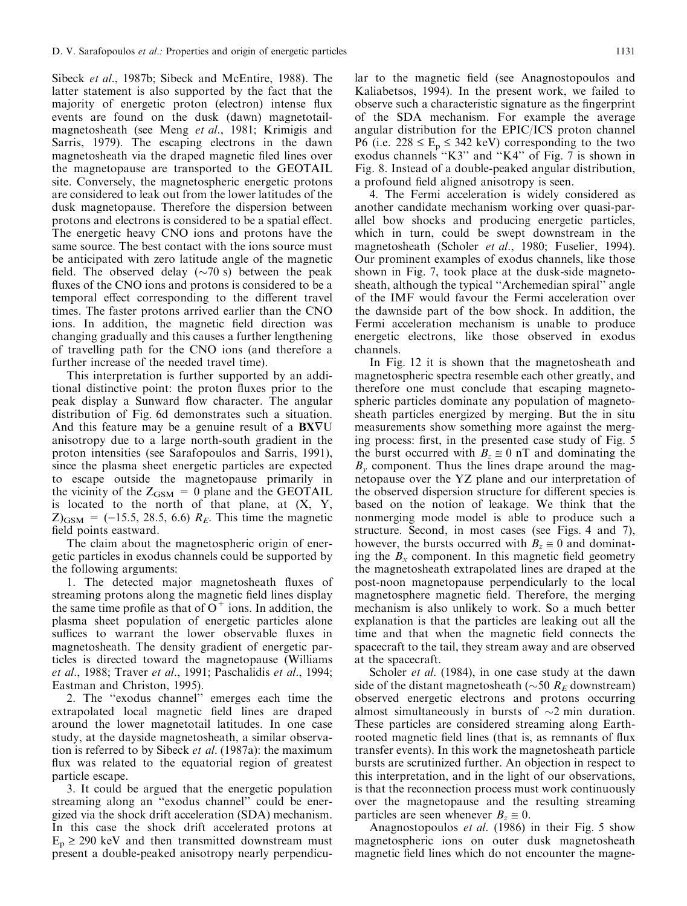Sibeck et al., 1987b; Sibeck and McEntire, 1988). The latter statement is also supported by the fact that the majority of energetic proton (electron) intense flux events are found on the dusk (dawn) magnetotailmagnetosheath (see Meng et al., 1981; Krimigis and Sarris, 1979). The escaping electrons in the dawn magnetosheath via the draped magnetic filed lines over the magnetopause are transported to the GEOTAIL site. Conversely, the magnetospheric energetic protons are considered to leak out from the lower latitudes of the dusk magnetopause. Therefore the dispersion between protons and electrons is considered to be a spatial effect. The energetic heavy CNO ions and protons have the same source. The best contact with the ions source must be anticipated with zero latitude angle of the magnetic field. The observed delay ( $\sim$ 70 s) between the peak fluxes of the CNO ions and protons is considered to be a temporal effect corresponding to the different travel times. The faster protons arrived earlier than the CNO ions. In addition, the magnetic field direction was changing gradually and this causes a further lengthening of travelling path for the CNO ions (and therefore a further increase of the needed travel time).

This interpretation is further supported by an additional distinctive point: the proton fluxes prior to the peak display a Sunward flow character. The angular distribution of Fig. 6d demonstrates such a situation. And this feature may be a genuine result of a  $BXYU$ anisotropy due to a large north-south gradient in the proton intensities (see Sarafopoulos and Sarris, 1991), since the plasma sheet energetic particles are expected to escape outside the magnetopause primarily in the vicinity of the  $Z_{GSM} = 0$  plane and the GEOTAIL is located to the north of that plane, at  $(X, Y, Y)$  $Z_{\text{GSM}}$  = (-15.5, 28.5, 6.6)  $R_E$ . This time the magnetic field points eastward.

The claim about the magnetospheric origin of energetic particles in exodus channels could be supported by the following arguments:

1. The detected major magnetosheath fluxes of streaming protons along the magnetic field lines display the same time profile as that of  $O^+$  ions. In addition, the plasma sheet population of energetic particles alone suffices to warrant the lower observable fluxes in magnetosheath. The density gradient of energetic particles is directed toward the magnetopause (Williams et al., 1988; Traver et al., 1991; Paschalidis et al., 1994; Eastman and Christon, 1995).

2. The ``exodus channel'' emerges each time the extrapolated local magnetic field lines are draped around the lower magnetotail latitudes. In one case study, at the dayside magnetosheath, a similar observation is referred to by Sibeck et al. (1987a): the maximum flux was related to the equatorial region of greatest particle escape.

3. It could be argued that the energetic population streaming along an "exodus channel" could be energized via the shock drift acceleration (SDA) mechanism. In this case the shock drift accelerated protons at  $E_p \ge 290$  keV and then transmitted downstream must present a double-peaked anisotropy nearly perpendicular to the magnetic field (see Anagnostopoulos and Kaliabetsos, 1994). In the present work, we failed to observe such a characteristic signature as the fingerprint of the SDA mechanism. For example the average angular distribution for the EPIC/ICS proton channel P6 (i.e.  $228 \le E_p \le 342$  keV) corresponding to the two exodus channels "K3" and "K4" of Fig. 7 is shown in Fig. 8. Instead of a double-peaked angular distribution, a profound field aligned anisotropy is seen.

4. The Fermi acceleration is widely considered as another candidate mechanism working over quasi-parallel bow shocks and producing energetic particles, which in turn, could be swept downstream in the magnetosheath (Scholer et al., 1980; Fuselier, 1994). Our prominent examples of exodus channels, like those shown in Fig. 7, took place at the dusk-side magnetosheath, although the typical "Archemedian spiral" angle of the IMF would favour the Fermi acceleration over the dawnside part of the bow shock. In addition, the Fermi acceleration mechanism is unable to produce energetic electrons, like those observed in exodus channels.

In Fig. 12 it is shown that the magnetosheath and magnetospheric spectra resemble each other greatly, and therefore one must conclude that escaping magnetospheric particles dominate any population of magnetosheath particles energized by merging. But the in situ measurements show something more against the merging process: first, in the presented case study of Fig. 5 the burst occurred with  $B_z \approx 0$  nT and dominating the  $B<sub>v</sub>$  component. Thus the lines drape around the magnetopause over the YZ plane and our interpretation of the observed dispersion structure for different species is based on the notion of leakage. We think that the nonmerging mode model is able to produce such a structure. Second, in most cases (see Figs. 4 and 7), however, the bursts occurred with  $B_z \approx 0$  and dominating the  $B_x$  component. In this magnetic field geometry the magnetosheath extrapolated lines are draped at the post-noon magnetopause perpendicularly to the local magnetosphere magnetic field. Therefore, the merging mechanism is also unlikely to work. So a much better explanation is that the particles are leaking out all the time and that when the magnetic field connects the spacecraft to the tail, they stream away and are observed at the spacecraft.

Scholer *et al.* (1984), in one case study at the dawn side of the distant magnetosheath ( $\sim$ 50  $R_E$  downstream) observed energetic electrons and protons occurring almost simultaneously in bursts of  $\sim$ 2 min duration. These particles are considered streaming along Earthrooted magnetic field lines (that is, as remnants of flux transfer events). In this work the magnetosheath particle bursts are scrutinized further. An objection in respect to this interpretation, and in the light of our observations, is that the reconnection process must work continuously over the magnetopause and the resulting streaming particles are seen whenever  $B_z \approx 0$ .

Anagnostopoulos et al. (1986) in their Fig. 5 show magnetospheric ions on outer dusk magnetosheath magnetic field lines which do not encounter the magne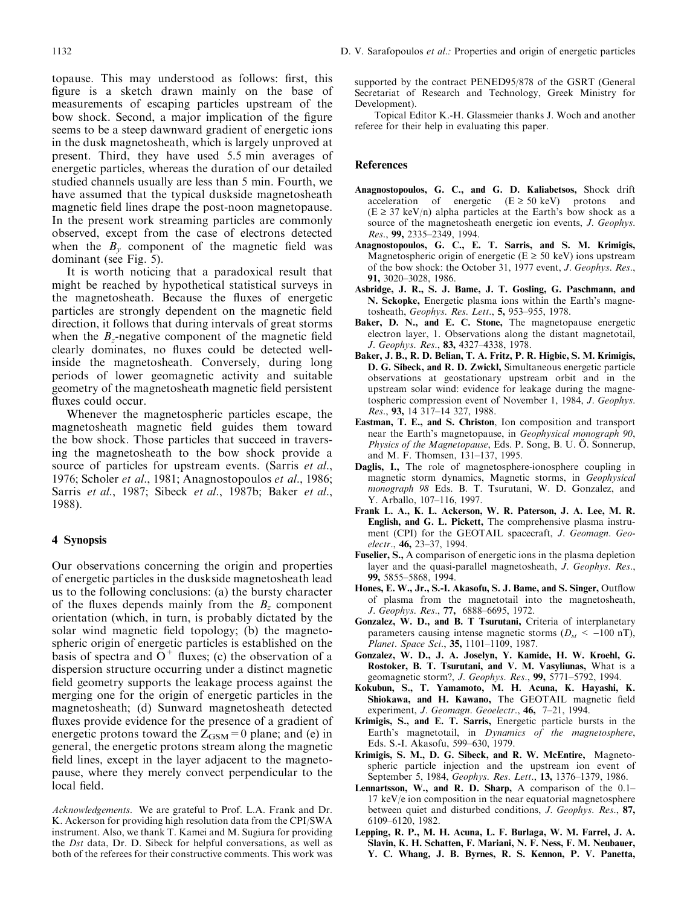topause. This may understood as follows: first, this figure is a sketch drawn mainly on the base of measurements of escaping particles upstream of the bow shock. Second, a major implication of the figure seems to be a steep dawnward gradient of energetic ions in the dusk magnetosheath, which is largely unproved at present. Third, they have used 5.5 min averages of energetic particles, whereas the duration of our detailed studied channels usually are less than 5 min. Fourth, we have assumed that the typical duskside magnetosheath magnetic field lines drape the post-noon magnetopause. In the present work streaming particles are commonly observed, except from the case of electrons detected when the  $B_v$  component of the magnetic field was dominant (see Fig. 5).

It is worth noticing that a paradoxical result that might be reached by hypothetical statistical surveys in the magnetosheath. Because the fluxes of energetic particles are strongly dependent on the magnetic field direction, it follows that during intervals of great storms when the  $B_z$ -negative component of the magnetic field clearly dominates, no fluxes could be detected wellinside the magnetosheath. Conversely, during long periods of lower geomagnetic activity and suitable geometry of the magnetosheath magnetic field persistent fluxes could occur.

Whenever the magnetospheric particles escape, the magnetosheath magnetic field guides them toward the bow shock. Those particles that succeed in traversing the magnetosheath to the bow shock provide a source of particles for upstream events. (Sarris et al., 1976; Scholer et al., 1981; Anagnostopoulos et al., 1986; Sarris et al., 1987; Sibeck et al., 1987b; Baker et al., 1988).

### 4 Synopsis

Our observations concerning the origin and properties of energetic particles in the duskside magnetosheath lead us to the following conclusions: (a) the bursty character of the fluxes depends mainly from the  $B_z$  component orientation (which, in turn, is probably dictated by the solar wind magnetic field topology; (b) the magnetospheric origin of energetic particles is established on the basis of spectra and  $O^+$  fluxes; (c) the observation of a dispersion structure occurring under a distinct magnetic field geometry supports the leakage process against the merging one for the origin of energetic particles in the magnetosheath; (d) Sunward magnetosheath detected fluxes provide evidence for the presence of a gradient of energetic protons toward the  $Z_{\text{GSM}}=0$  plane; and (e) in general, the energetic protons stream along the magnetic field lines, except in the layer adjacent to the magnetopause, where they merely convect perpendicular to the local field.

Acknowledgements. We are grateful to Prof. L.A. Frank and Dr. K. Ackerson for providing high resolution data from the CPI/SWA instrument. Also, we thank T. Kamei and M. Sugiura for providing the Dst data, Dr. D. Sibeck for helpful conversations, as well as both of the referees for their constructive comments. This work was

Topical Editor K.-H. Glassmeier thanks J. Woch and another referee for their help in evaluating this paper.

#### References

- Anagnostopoulos, G. C., and G. D. Kaliabetsos, Shock drift acceleration of energetic  $(E \ge 50 \text{ keV})$  protons and  $(E \geq 37 \text{ keV/n})$  alpha particles at the Earth's bow shock as a source of the magnetosheath energetic ion events, *J. Geophys.* Res., 99, 2335-2349, 1994.
- Anagnostopoulos, G. C., E. T. Sarris, and S. M. Krimigis, Magnetospheric origin of energetic ( $E \ge 50 \text{ keV}$ ) ions upstream of the bow shock: the October 31, 1977 event, J. Geophys. Res., 91, 3020-3028, 1986.
- Asbridge, J. R., S. J. Bame, J. T. Gosling, G. Paschmann, and N. Sckopke, Energetic plasma ions within the Earth's magnetosheath, Geophys. Res. Lett., 5, 953-955, 1978.
- Baker, D. N., and E. C. Stone, The magnetopause energetic electron layer, 1. Observations along the distant magnetotail, J. Geophys. Res., 83, 4327-4338, 1978.
- Baker, J. B., R. D. Belian, T. A. Fritz, P. R. Higbie, S. M. Krimigis, D. G. Sibeck, and R. D. Zwickl, Simultaneous energetic particle observations at geostationary upstream orbit and in the upstream solar wind: evidence for leakage during the magnetospheric compression event of November 1, 1984, J. Geophys. Res., 93, 14 317-14 327, 1988.
- Eastman, T. E., and S. Christon, Ion composition and transport near the Earth's magnetopause, in Geophysical monograph 90, Physics of the Magnetopause, Eds. P. Song, B. U. Ö. Sonnerup, and M. F. Thomsen, 131-137, 1995.
- Daglis, I., The role of magnetosphere-ionosphere coupling in magnetic storm dynamics, Magnetic storms, in Geophysical monograph 98 Eds. B. T. Tsurutani, W. D. Gonzalez, and Y. Arballo, 107–116, 1997.
- Frank L. A., K. L. Ackerson, W. R. Paterson, J. A. Lee, M. R. English, and G. L. Pickett, The comprehensive plasma instrument (CPI) for the GEOTAIL spacecraft, J. Geomagn. Geoelectr., 46, 23-37, 1994.
- Fuselier, S., A comparison of energetic ions in the plasma depletion layer and the quasi-parallel magnetosheath, J. Geophys. Res., 99, 5855±5868, 1994.
- Hones, E. W., Jr., S.-I. Akasofu, S. J. Bame, and S. Singer, Outflow of plasma from the magnetotail into the magnetosheath, J. Geophys. Res., 77, 6888-6695, 1972.
- Gonzalez, W. D., and B. T Tsurutani, Criteria of interplanetary parameters causing intense magnetic storms ( $D_{st} < -100$  nT), Planet. Space Sci., 35, 1101-1109, 1987.
- Gonzalez, W. D., J. A. Joselyn, Y. Kamide, H. W. Kroehl, G. Rostoker, B. T. Tsurutani, and V. M. Vasyliunas, What is a geomagnetic storm?, J. Geophys. Res., 99, 5771-5792, 1994.
- Kokubun, S., T. Yamamoto, M. H. Acuna, K. Hayashi, K. Shiokawa, and H. Kawano, The GEOTAIL magnetic field experiment, J. Geomagn. Geoelectr., 46, 7-21, 1994.
- Krimigis, S., and E. T. Sarris, Energetic particle bursts in the Earth's magnetotail, in Dynamics of the magnetosphere, Eds. S.-I. Akasofu, 599-630, 1979.
- Krimigis, S. M., D. G. Sibeck, and R. W. McEntire, Magnetospheric particle injection and the upstream ion event of September 5, 1984, *Geophys. Res. Lett.*, **13,** 1376–1379, 1986.
- Lennartsson, W., and R. D. Sharp, A comparison of the  $0.1-$ 17 keV/e ion composition in the near equatorial magnetosphere between quiet and disturbed conditions, J. Geophys. Res., 87, 6109±6120, 1982.
- Lepping, R. P., M. H. Acuna, L. F. Burlaga, W. M. Farrel, J. A. Slavin, K. H. Schatten, F. Mariani, N. F. Ness, F. M. Neubauer, Y. C. Whang, J. B. Byrnes, R. S. Kennon, P. V. Panetta,